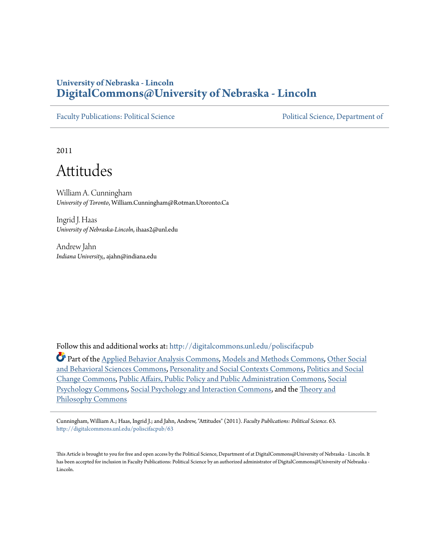# **University of Nebraska - Lincoln [DigitalCommons@University of Nebraska - Lincoln](http://digitalcommons.unl.edu?utm_source=digitalcommons.unl.edu%2Fpoliscifacpub%2F63&utm_medium=PDF&utm_campaign=PDFCoverPages)**

[Faculty Publications: Political Science](http://digitalcommons.unl.edu/poliscifacpub?utm_source=digitalcommons.unl.edu%2Fpoliscifacpub%2F63&utm_medium=PDF&utm_campaign=PDFCoverPages) [Political Science, Department of](http://digitalcommons.unl.edu/politicalscience?utm_source=digitalcommons.unl.edu%2Fpoliscifacpub%2F63&utm_medium=PDF&utm_campaign=PDFCoverPages)

2011

# Attitudes

William A. Cunningham *University of Toronto*, William.Cunningham@Rotman.Utoronto.Ca

Ingrid J. Haas *University of Nebraska-Lincoln*, ihaas2@unl.edu

Andrew Jahn *Indiana University,*, ajahn@indiana.edu

Follow this and additional works at: [http://digitalcommons.unl.edu/poliscifacpub](http://digitalcommons.unl.edu/poliscifacpub?utm_source=digitalcommons.unl.edu%2Fpoliscifacpub%2F63&utm_medium=PDF&utm_campaign=PDFCoverPages)

Part of the [Applied Behavior Analysis Commons](http://network.bepress.com/hgg/discipline/1235?utm_source=digitalcommons.unl.edu%2Fpoliscifacpub%2F63&utm_medium=PDF&utm_campaign=PDFCoverPages), [Models and Methods Commons,](http://network.bepress.com/hgg/discipline/390?utm_source=digitalcommons.unl.edu%2Fpoliscifacpub%2F63&utm_medium=PDF&utm_campaign=PDFCoverPages) [Other Social](http://network.bepress.com/hgg/discipline/437?utm_source=digitalcommons.unl.edu%2Fpoliscifacpub%2F63&utm_medium=PDF&utm_campaign=PDFCoverPages) [and Behavioral Sciences Commons,](http://network.bepress.com/hgg/discipline/437?utm_source=digitalcommons.unl.edu%2Fpoliscifacpub%2F63&utm_medium=PDF&utm_campaign=PDFCoverPages) [Personality and Social Contexts Commons](http://network.bepress.com/hgg/discipline/413?utm_source=digitalcommons.unl.edu%2Fpoliscifacpub%2F63&utm_medium=PDF&utm_campaign=PDFCoverPages), [Politics and Social](http://network.bepress.com/hgg/discipline/425?utm_source=digitalcommons.unl.edu%2Fpoliscifacpub%2F63&utm_medium=PDF&utm_campaign=PDFCoverPages) [Change Commons,](http://network.bepress.com/hgg/discipline/425?utm_source=digitalcommons.unl.edu%2Fpoliscifacpub%2F63&utm_medium=PDF&utm_campaign=PDFCoverPages) [Public Affairs, Public Policy and Public Administration Commons,](http://network.bepress.com/hgg/discipline/393?utm_source=digitalcommons.unl.edu%2Fpoliscifacpub%2F63&utm_medium=PDF&utm_campaign=PDFCoverPages) [Social](http://network.bepress.com/hgg/discipline/414?utm_source=digitalcommons.unl.edu%2Fpoliscifacpub%2F63&utm_medium=PDF&utm_campaign=PDFCoverPages) [Psychology Commons,](http://network.bepress.com/hgg/discipline/414?utm_source=digitalcommons.unl.edu%2Fpoliscifacpub%2F63&utm_medium=PDF&utm_campaign=PDFCoverPages) [Social Psychology and Interaction Commons](http://network.bepress.com/hgg/discipline/430?utm_source=digitalcommons.unl.edu%2Fpoliscifacpub%2F63&utm_medium=PDF&utm_campaign=PDFCoverPages), and the [Theory and](http://network.bepress.com/hgg/discipline/1238?utm_source=digitalcommons.unl.edu%2Fpoliscifacpub%2F63&utm_medium=PDF&utm_campaign=PDFCoverPages) [Philosophy Commons](http://network.bepress.com/hgg/discipline/1238?utm_source=digitalcommons.unl.edu%2Fpoliscifacpub%2F63&utm_medium=PDF&utm_campaign=PDFCoverPages)

Cunningham, William A.; Haas, Ingrid J.; and Jahn, Andrew, "Attitudes" (2011). *Faculty Publications: Political Science*. 63. [http://digitalcommons.unl.edu/poliscifacpub/63](http://digitalcommons.unl.edu/poliscifacpub/63?utm_source=digitalcommons.unl.edu%2Fpoliscifacpub%2F63&utm_medium=PDF&utm_campaign=PDFCoverPages)

This Article is brought to you for free and open access by the Political Science, Department of at DigitalCommons@University of Nebraska - Lincoln. It has been accepted for inclusion in Faculty Publications: Political Science by an authorized administrator of DigitalCommons@University of Nebraska -Lincoln.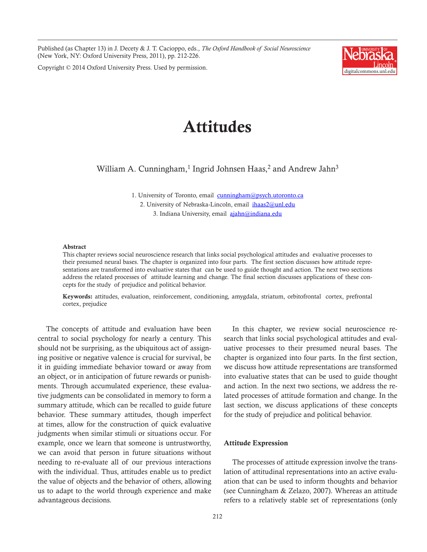Published (as Chapter 13) in J. Decety & J. T. Cacioppo, eds., *The Oxford Handbook of Social Neuroscience* (New York, NY: Oxford University Press, 2011), pp. 212-226.

Copyright © 2014 Oxford University Press. Used by permission.



# Attitudes

William A. Cunningham,<sup>1</sup> Ingrid Johnsen Haas,<sup>2</sup> and Andrew Jahn<sup>3</sup>

1. University of Toronto, email cunningham@psych.utoronto.ca 2. University of Nebraska-Lincoln, email ihaas2@unl.edu 3. Indiana University, email ajahn@indiana.edu

#### Abstract

This chapter reviews social neuroscience research that links social psychological attitudes and evaluative processes to their presumed neural bases. The chapter is organized into four parts. The first section discusses how attitude representations are transformed into evaluative states that can be used to guide thought and action. The next two sections address the related processes of attitude learning and change. The final section discusses applications of these concepts for the study of prejudice and political behavior.

Keywords: attitudes, evaluation, reinforcement, conditioning, amygdala, striatum, orbitofrontal cortex, prefrontal cortex, prejudice

The concepts of attitude and evaluation have been central to social psychology for nearly a century. This should not be surprising, as the ubiquitous act of assigning positive or negative valence is crucial for survival, be it in guiding immediate behavior toward or away from an object, or in anticipation of future rewards or punishments. Through accumulated experience, these evaluative judgments can be consolidated in memory to form a summary attitude, which can be recalled to guide future behavior. These summary attitudes, though imperfect at times, allow for the construction of quick evaluative judgments when similar stimuli or situations occur. For example, once we learn that someone is untrustworthy, we can avoid that person in future situations without needing to re-evaluate all of our previous interactions with the individual. Thus, attitudes enable us to predict the value of objects and the behavior of others, allowing us to adapt to the world through experience and make advantageous decisions.

In this chapter, we review social neuroscience research that links social psychological attitudes and evaluative processes to their presumed neural bases. The chapter is organized into four parts. In the first section, we discuss how attitude representations are transformed into evaluative states that can be used to guide thought and action. In the next two sections, we address the related processes of attitude formation and change. In the last section, we discuss applications of these concepts for the study of prejudice and political behavior.

# Attitude Expression

The processes of attitude expression involve the translation of attitudinal representations into an active evaluation that can be used to inform thoughts and behavior (see Cunningham & Zelazo, 2007). Whereas an attitude refers to a relatively stable set of representations (only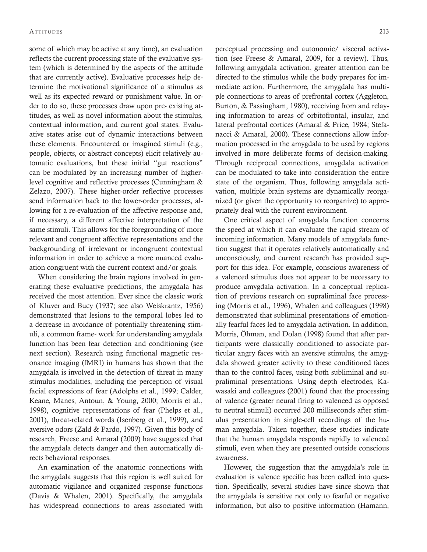some of which may be active at any time), an evaluation reflects the current processing state of the evaluative system (which is determined by the aspects of the attitude that are currently active). Evaluative processes help determine the motivational significance of a stimulus as well as its expected reward or punishment value. In order to do so, these processes draw upon pre- existing attitudes, as well as novel information about the stimulus, contextual information, and current goal states. Evaluative states arise out of dynamic interactions between these elements. Encountered or imagined stimuli (e.g., people, objects, or abstract concepts) elicit relatively automatic evaluations, but these initial "gut reactions" can be modulated by an increasing number of higherlevel cognitive and reflective processes (Cunningham & Zelazo, 2007). These higher-order reflective processes send information back to the lower-order processes, allowing for a re-evaluation of the affective response and, if necessary, a different affective interpretation of the same stimuli. This allows for the foregrounding of more relevant and congruent affective representations and the backgrounding of irrelevant or incongruent contextual information in order to achieve a more nuanced evaluation congruent with the current context and/or goals.

When considering the brain regions involved in generating these evaluative predictions, the amygdala has received the most attention. Ever since the classic work of Kluver and Bucy (1937; see also Weiskrantz, 1956) demonstrated that lesions to the temporal lobes led to a decrease in avoidance of potentially threatening stimuli, a common frame- work for understanding amygdala function has been fear detection and conditioning (see next section). Research using functional magnetic resonance imaging (fMRI) in humans has shown that the amygdala is involved in the detection of threat in many stimulus modalities, including the perception of visual facial expressions of fear (Adolphs et al., 1999; Calder, Keane, Manes, Antoun, & Young, 2000; Morris et al., 1998), cognitive representations of fear (Phelps et al., 2001), threat-related words (Isenberg et al., 1999), and aversive odors (Zald & Pardo, 1997). Given this body of research, Freese and Amaral (2009) have suggested that the amygdala detects danger and then automatically directs behavioral responses.

An examination of the anatomic connections with the amygdala suggests that this region is well suited for automatic vigilance and organized response functions (Davis & Whalen, 2001). Specifically, the amygdala has widespread connections to areas associated with perceptual processing and autonomic/ visceral activation (see Freese & Amaral, 2009, for a review). Thus, following amygdala activation, greater attention can be directed to the stimulus while the body prepares for immediate action. Furthermore, the amygdala has multiple connections to areas of prefrontal cortex (Aggleton, Burton, & Passingham, 1980), receiving from and relaying information to areas of orbitofrontal, insular, and lateral prefrontal cortices (Amaral & Price, 1984; Stefanacci & Amaral, 2000). These connections allow information processed in the amygdala to be used by regions involved in more deliberate forms of decision-making. Through reciprocal connections, amygdala activation can be modulated to take into consideration the entire state of the organism. Thus, following amygdala activation, multiple brain systems are dynamically reorganized (or given the opportunity to reorganize) to appropriately deal with the current environment.

One critical aspect of amygdala function concerns the speed at which it can evaluate the rapid stream of incoming information. Many models of amygdala function suggest that it operates relatively automatically and unconsciously, and current research has provided support for this idea. For example, conscious awareness of a valenced stimulus does not appear to be necessary to produce amygdala activation. In a conceptual replication of previous research on supraliminal face processing (Morris et al., 1996), Whalen and colleagues (1998) demonstrated that subliminal presentations of emotionally fearful faces led to amygdala activation. In addition, Morris, Öhman, and Dolan (1998) found that after participants were classically conditioned to associate particular angry faces with an aversive stimulus, the amygdala showed greater activity to these conditioned faces than to the control faces, using both subliminal and supraliminal presentations. Using depth electrodes, Kawasaki and colleagues (2001) found that the processing of valence (greater neural firing to valenced as opposed to neutral stimuli) occurred 200 milliseconds after stimulus presentation in single-cell recordings of the human amygdala. Taken together, these studies indicate that the human amygdala responds rapidly to valenced stimuli, even when they are presented outside conscious awareness.

However, the suggestion that the amygdala's role in evaluation is valence specific has been called into question. Specifically, several studies have since shown that the amygdala is sensitive not only to fearful or negative information, but also to positive information (Hamann,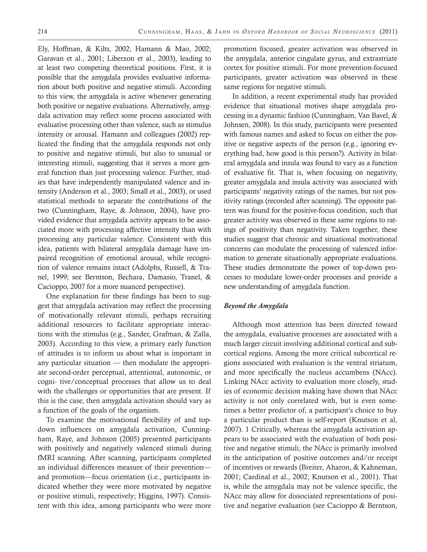Ely, Hoffman, & Kilts, 2002; Hamann & Mao, 2002; Garavan et al., 2001; Liberzon et al., 2003), leading to at least two competing theoretical positions. First, it is possible that the amygdala provides evaluative information about both positive and negative stimuli. According to this view, the amygdala is active whenever generating both positive or negative evaluations. Alternatively, amygdala activation may reflect some process associated with evaluative processing other than valence, such as stimulus intensity or arousal. Hamann and colleagues (2002) replicated the finding that the amygdala responds not only to positive and negative stimuli, but also to unusual or interesting stimuli, suggesting that it serves a more general function than just processing valence. Further, studies that have independently manipulated valence and intensity (Anderson et al., 2003; Small et al., 2003), or used statistical methods to separate the contributions of the two (Cunningham, Raye, & Johnson, 2004), have provided evidence that amygdala activity appears to be associated more with processing affective intensity than with processing any particular valence. Consistent with this idea, patients with bilateral amygdala damage have impaired recognition of emotional arousal, while recognition of valence remains intact (Adolphs, Russell, & Tranel, 1999; see Berntson, Bechara, Damasio, Tranel, & Cacioppo, 2007 for a more nuanced perspective).

One explanation for these findings has been to suggest that amygdala activation may reflect the processing of motivationally relevant stimuli, perhaps recruiting additional resources to facilitate appropriate interactions with the stimulus (e.g., Sander, Grafman, & Zalla, 2003). According to this view, a primary early function of attitudes is to inform us about what is important in any particular situation — then modulate the appropriate second-order perceptual, attentional, autonomic, or cogni- tive/conceptual processes that allow us to deal with the challenges or opportunities that are present. If this is the case, then amygdala activation should vary as a function of the goals of the organism.

To examine the motivational flexibility of and topdown influences on amygdala activation, Cunningham, Raye, and Johnson (2005) presented participants with positively and negatively valenced stimuli during fMRI scanning. After scanning, participants completed an individual differences measure of their prevention and promotion—focus orientation (i.e., participants indicated whether they were more motivated by negative or positive stimuli, respectively; Higgins, 1997). Consistent with this idea, among participants who were more

promotion focused, greater activation was observed in the amygdala, anterior cingulate gyrus, and extrastriate cortex for positive stimuli. For more prevention-focused participants, greater activation was observed in these same regions for negative stimuli.

In addition, a recent experimental study has provided evidence that situational motives shape amygdala processing in a dynamic fashion (Cunningham, Van Bavel, & Johnsen, 2008). In this study, participants were presented with famous names and asked to focus on either the positive or negative aspects of the person (e.g., ignoring everything bad, how good is this person?). Activity in bilateral amygdala and insula was found to vary as a function of evaluative fit. That is, when focusing on negativity, greater amygdala and insula activity was associated with participants' negativity ratings of the names, but not positivity ratings (recorded after scanning). The opposite pattern was found for the positive-focus condition, such that greater activity was observed in these same regions to ratings of positivity than negativity. Taken together, these studies suggest that chronic and situational motivational concerns can modulate the processing of valenced information to generate situationally appropriate evaluations. These studies demonstrate the power of top-down processes to modulate lower-order processes and provide a new understanding of amygdala function.

# *Beyond the Amygdala*

Although most attention has been directed toward the amygdala, evaluative processes are associated with a much larger circuit involving additional cortical and subcortical regions. Among the more critical subcortical regions associated with evaluation is the ventral striatum, and more specifically the nucleus accumbens (NAcc). Linking NAcc activity to evaluation more closely, studies of economic decision making have shown that NAcc activity is not only correlated with, but is even sometimes a better predictor of, a participant's choice to buy a particular product than is self-report (Knutson et al, 2007). 1 Critically, whereas the amygdala activation appears to be associated with the evaluation of both positive and negative stimuli, the NAcc is primarily involved in the anticipation of positive outcomes and/or receipt of incentives or rewards (Breiter, Aharon, & Kahneman, 2001; Cardinal et al., 2002; Knutson et al., 2001). That is, while the amygdala may not be valence specific, the NAcc may allow for dissociated representations of positive and negative evaluation (see Cacioppo & Berntson,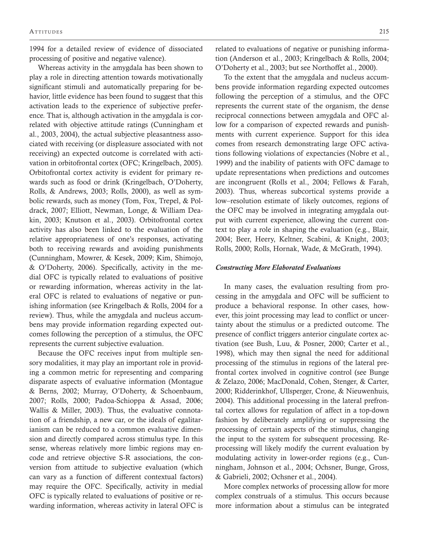1994 for a detailed review of evidence of dissociated processing of positive and negative valence).

Whereas activity in the amygdala has been shown to play a role in directing attention towards motivationally significant stimuli and automatically preparing for behavior, little evidence has been found to suggest that this activation leads to the experience of subjective preference. That is, although activation in the amygdala is correlated with objective attitude ratings (Cunningham et al., 2003, 2004), the actual subjective pleasantness associated with receiving (or displeasure associated with not receiving) an expected outcome is correlated with activation in orbitofrontal cortex (OFC; Kringelbach, 2005). Orbitofrontal cortex activity is evident for primary rewards such as food or drink (Kringelbach, O'Doherty, Rolls, & Andrews, 2003; Rolls, 2000), as well as symbolic rewards, such as money (Tom, Fox, Trepel, & Poldrack, 2007; Elliott, Newman, Longe, & William Deakin, 2003; Knutson et al., 2003). Orbitofrontal cortex activity has also been linked to the evaluation of the relative appropriateness of one's responses, activating both to receiving rewards and avoiding punishments (Cunningham, Mowrer, & Kesek, 2009; Kim, Shimojo, & O'Doherty, 2006). Specifically, activity in the medial OFC is typically related to evaluations of positive or rewarding information, whereas activity in the lateral OFC is related to evaluations of negative or punishing information (see Kringelbach & Rolls, 2004 for a review). Thus, while the amygdala and nucleus accumbens may provide information regarding expected outcomes following the perception of a stimulus, the OFC represents the current subjective evaluation.

Because the OFC receives input from multiple sensory modalities, it may play an important role in providing a common metric for representing and comparing disparate aspects of evaluative information (Montague & Berns, 2002; Murray, O'Doherty, & Schoenbaum, 2007; Rolls, 2000; Padoa-Schioppa & Assad, 2006; Wallis & Miller, 2003). Thus, the evaluative connotation of a friendship, a new car, or the ideals of egalitarianism can be reduced to a common evaluative dimension and directly compared across stimulus type. In this sense, whereas relatively more limbic regions may encode and retrieve objective S-R associations, the conversion from attitude to subjective evaluation (which can vary as a function of different contextual factors) may require the OFC. Specifically, activity in medial OFC is typically related to evaluations of positive or rewarding information, whereas activity in lateral OFC is

related to evaluations of negative or punishing information (Anderson et al., 2003; Kringelbach & Rolls, 2004; O'Doherty et al., 2003; but see Northoffet al., 2000).

To the extent that the amygdala and nucleus accumbens provide information regarding expected outcomes following the perception of a stimulus, and the OFC represents the current state of the organism, the dense reciprocal connections between amygdala and OFC allow for a comparison of expected rewards and punishments with current experience. Support for this idea comes from research demonstrating large OFC activations following violations of expectancies (Nobre et al., 1999) and the inability of patients with OFC damage to update representations when predictions and outcomes are incongruent (Rolls et al., 2004; Fellows & Farah, 2003). Thus, whereas subcortical systems provide a low–resolution estimate of likely outcomes, regions of the OFC may be involved in integrating amygdala output with current experience, allowing the current context to play a role in shaping the evaluation (e.g., Blair, 2004; Beer, Heery, Keltner, Scabini, & Knight, 2003; Rolls, 2000; Rolls, Hornak, Wade, & McGrath, 1994).

#### *Constructing More Elaborated Evaluations*

In many cases, the evaluation resulting from processing in the amygdala and OFC will be sufficient to produce a behavioral response. In other cases, however, this joint processing may lead to conflict or uncertainty about the stimulus or a predicted outcome. The presence of conflict triggers anterior cingulate cortex activation (see Bush, Luu, & Posner, 2000; Carter et al., 1998), which may then signal the need for additional processing of the stimulus in regions of the lateral prefrontal cortex involved in cognitive control (see Bunge & Zelazo, 2006; MacDonald, Cohen, Stenger, & Carter, 2000; Ridderinkhof, Ullsperger, Crone, & Nieuwenhuis, 2004). This additional processing in the lateral prefrontal cortex allows for regulation of affect in a top-down fashion by deliberately amplifying or suppressing the processing of certain aspects of the stimulus, changing the input to the system for subsequent processing. Reprocessing will likely modify the current evaluation by modulating activity in lower-order regions (e.g., Cunningham, Johnson et al., 2004; Ochsner, Bunge, Gross, & Gabrieli, 2002; Ochsner et al., 2004).

More complex networks of processing allow for more complex construals of a stimulus. This occurs because more information about a stimulus can be integrated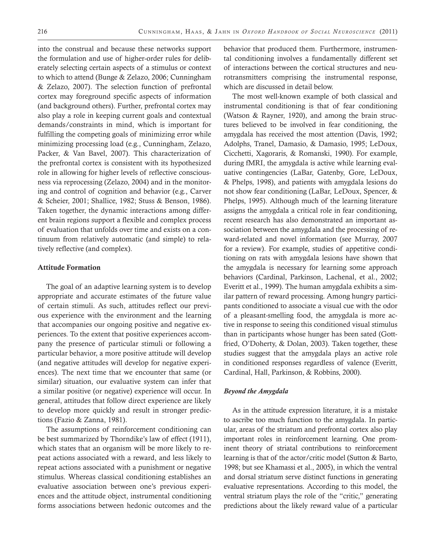into the construal and because these networks support the formulation and use of higher-order rules for deliberately selecting certain aspects of a stimulus or context to which to attend (Bunge & Zelazo, 2006; Cunningham & Zelazo, 2007). The selection function of prefrontal cortex may foreground specific aspects of information (and background others). Further, prefrontal cortex may also play a role in keeping current goals and contextual demands/constraints in mind, which is important for fulfilling the competing goals of minimizing error while minimizing processing load (e.g., Cunningham, Zelazo, Packer, & Van Bavel, 2007). This characterization of the prefrontal cortex is consistent with its hypothesized role in allowing for higher levels of reflective consciousness via reprocessing (Zelazo, 2004) and in the monitoring and control of cognition and behavior (e.g., Carver & Scheier, 2001; Shallice, 1982; Stuss & Benson, 1986). Taken together, the dynamic interactions among different brain regions support a flexible and complex process of evaluation that unfolds over time and exists on a continuum from relatively automatic (and simple) to relatively reflective (and complex).

# Attitude Formation

The goal of an adaptive learning system is to develop appropriate and accurate estimates of the future value of certain stimuli. As such, attitudes reflect our previous experience with the environment and the learning that accompanies our ongoing positive and negative experiences. To the extent that positive experiences accompany the presence of particular stimuli or following a particular behavior, a more positive attitude will develop (and negative attitudes will develop for negative experiences). The next time that we encounter that same (or similar) situation, our evaluative system can infer that a similar positive (or negative) experience will occur. In general, attitudes that follow direct experience are likely to develop more quickly and result in stronger predictions (Fazio & Zanna, 1981).

The assumptions of reinforcement conditioning can be best summarized by Thorndike's law of effect (1911), which states that an organism will be more likely to repeat actions associated with a reward, and less likely to repeat actions associated with a punishment or negative stimulus. Whereas classical conditioning establishes an evaluative association between one's previous experiences and the attitude object, instrumental conditioning forms associations between hedonic outcomes and the behavior that produced them. Furthermore, instrumental conditioning involves a fundamentally different set of interactions between the cortical structures and neurotransmitters comprising the instrumental response, which are discussed in detail below.

The most well-known example of both classical and instrumental conditioning is that of fear conditioning (Watson & Rayner, 1920), and among the brain structures believed to be involved in fear conditioning, the amygdala has received the most attention (Davis, 1992; Adolphs, Tranel, Damasio, & Damasio, 1995; LeDoux, Cicchetti, Xagoraris, & Romanski, 1990). For example, during fMRI, the amygdala is active while learning evaluative contingencies (LaBar, Gatenby, Gore, LeDoux, & Phelps, 1998), and patients with amygdala lesions do not show fear conditioning (LaBar, LeDoux, Spencer, & Phelps, 1995). Although much of the learning literature assigns the amygdala a critical role in fear conditioning, recent research has also demonstrated an important association between the amygdala and the processing of reward-related and novel information (see Murray, 2007 for a review). For example, studies of appetitive conditioning on rats with amygdala lesions have shown that the amygdala is necessary for learning some approach behaviors (Cardinal, Parkinson, Lachenal, et al., 2002; Everitt et al., 1999). The human amygdala exhibits a similar pattern of reward processing. Among hungry participants conditioned to associate a visual cue with the odor of a pleasant-smelling food, the amygdala is more active in response to seeing this conditioned visual stimulus than in participants whose hunger has been sated (Gottfried, O'Doherty, & Dolan, 2003). Taken together, these studies suggest that the amygdala plays an active role in conditioned responses regardless of valence (Everitt, Cardinal, Hall, Parkinson, & Robbins, 2000).

# *Beyond the Amygdala*

As in the attitude expression literature, it is a mistake to ascribe too much function to the amygdala. In particular, areas of the striatum and prefrontal cortex also play important roles in reinforcement learning. One prominent theory of striatal contributions to reinforcement learning is that of the actor/critic model (Sutton & Barto, 1998; but see Khamassi et al., 2005), in which the ventral and dorsal striatum serve distinct functions in generating evaluative representations. According to this model, the ventral striatum plays the role of the "critic," generating predictions about the likely reward value of a particular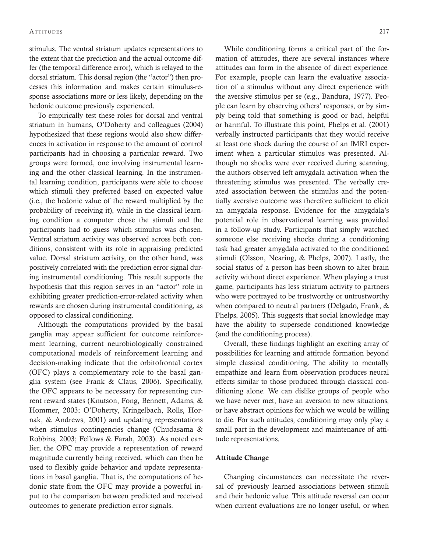stimulus. The ventral striatum updates representations to the extent that the prediction and the actual outcome differ (the temporal difference error), which is relayed to the dorsal striatum. This dorsal region (the "actor") then processes this information and makes certain stimulus-response associations more or less likely, depending on the hedonic outcome previously experienced.

To empirically test these roles for dorsal and ventral striatum in humans, O'Doherty and colleagues (2004) hypothesized that these regions would also show differences in activation in response to the amount of control participants had in choosing a particular reward. Two groups were formed, one involving instrumental learning and the other classical learning. In the instrumental learning condition, participants were able to choose which stimuli they preferred based on expected value (i.e., the hedonic value of the reward multiplied by the probability of receiving it), while in the classical learning condition a computer chose the stimuli and the participants had to guess which stimulus was chosen. Ventral striatum activity was observed across both conditions, consistent with its role in appraising predicted value. Dorsal striatum activity, on the other hand, was positively correlated with the prediction error signal during instrumental conditioning. This result supports the hypothesis that this region serves in an "actor" role in exhibiting greater prediction-error-related activity when rewards are chosen during instrumental conditioning, as opposed to classical conditioning.

Although the computations provided by the basal ganglia may appear sufficient for outcome reinforcement learning, current neurobiologically constrained computational models of reinforcement learning and decision-making indicate that the orbitofrontal cortex (OFC) plays a complementary role to the basal ganglia system (see Frank & Claus, 2006). Specifically, the OFC appears to be necessary for representing current reward states (Knutson, Fong, Bennett, Adams, & Hommer, 2003; O'Doherty, Kringelbach, Rolls, Hornak, & Andrews, 2001) and updating representations when stimulus contingencies change (Chudasama & Robbins, 2003; Fellows & Farah, 2003). As noted earlier, the OFC may provide a representation of reward magnitude currently being received, which can then be used to flexibly guide behavior and update representations in basal ganglia. That is, the computations of hedonic state from the OFC may provide a powerful input to the comparison between predicted and received outcomes to generate prediction error signals.

While conditioning forms a critical part of the formation of attitudes, there are several instances where attitudes can form in the absence of direct experience. For example, people can learn the evaluative association of a stimulus without any direct experience with the aversive stimulus per se (e.g., Bandura, 1977). People can learn by observing others' responses, or by simply being told that something is good or bad, helpful or harmful. To illustrate this point, Phelps et al. (2001) verbally instructed participants that they would receive at least one shock during the course of an fMRI experiment when a particular stimulus was presented. Although no shocks were ever received during scanning, the authors observed left amygdala activation when the threatening stimulus was presented. The verbally created association between the stimulus and the potentially aversive outcome was therefore sufficient to elicit an amygdala response. Evidence for the amygdala's potential role in observational learning was provided in a follow-up study. Participants that simply watched someone else receiving shocks during a conditioning task had greater amygdala activated to the conditioned stimuli (Olsson, Nearing, & Phelps, 2007). Lastly, the social status of a person has been shown to alter brain activity without direct experience. When playing a trust game, participants has less striatum activity to partners who were portrayed to be trustworthy or untrustworthy when compared to neutral partners (Delgado, Frank, & Phelps, 2005). This suggests that social knowledge may have the ability to supersede conditioned knowledge (and the conditioning process).

Overall, these findings highlight an exciting array of possibilities for learning and attitude formation beyond simple classical conditioning. The ability to mentally empathize and learn from observation produces neural effects similar to those produced through classical conditioning alone. We can dislike groups of people who we have never met, have an aversion to new situations, or have abstract opinions for which we would be willing to die. For such attitudes, conditioning may only play a small part in the development and maintenance of attitude representations.

#### Attitude Change

Changing circumstances can necessitate the reversal of previously learned associations between stimuli and their hedonic value. This attitude reversal can occur when current evaluations are no longer useful, or when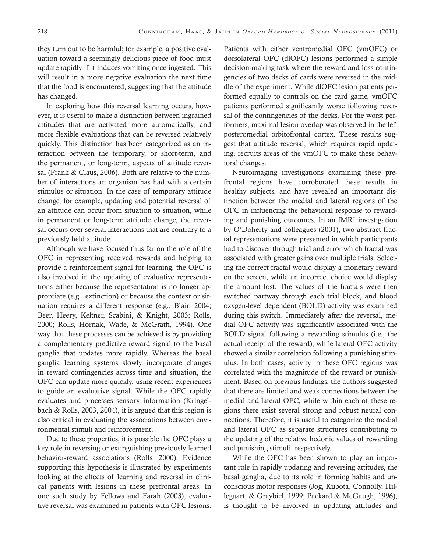they turn out to be harmful; for example, a positive evaluation toward a seemingly delicious piece of food must update rapidly if it induces vomiting once ingested. This will result in a more negative evaluation the next time that the food is encountered, suggesting that the attitude has changed.

In exploring how this reversal learning occurs, however, it is useful to make a distinction between ingrained attitudes that are activated more automatically, and more flexible evaluations that can be reversed relatively quickly. This distinction has been categorized as an interaction between the temporary, or short-term, and the permanent, or long-term, aspects of attitude reversal (Frank & Claus, 2006). Both are relative to the number of interactions an organism has had with a certain stimulus or situation. In the case of temporary attitude change, for example, updating and potential reversal of an attitude can occur from situation to situation, while in permanent or long-term attitude change, the reversal occurs over several interactions that are contrary to a previously held attitude.

Although we have focused thus far on the role of the OFC in representing received rewards and helping to provide a reinforcement signal for learning, the OFC is also involved in the updating of evaluative representations either because the representation is no longer appropriate (e.g., extinction) or because the context or situation requires a different response (e.g., Blair, 2004; Beer, Heery, Keltner, Scabini, & Knight, 2003; Rolls, 2000; Rolls, Hornak, Wade, & McGrath, 1994). One way that these processes can be achieved is by providing a complementary predictive reward signal to the basal ganglia that updates more rapidly. Whereas the basal ganglia learning systems slowly incorporate changes in reward contingencies across time and situation, the OFC can update more quickly, using recent experiences to guide an evaluative signal. While the OFC rapidly evaluates and processes sensory information (Kringelbach & Rolls, 2003, 2004), it is argued that this region is also critical in evaluating the associations between environmental stimuli and reinforcement.

Due to these properties, it is possible the OFC plays a key role in reversing or extinguishing previously learned behavior-reward associations (Rolls, 2000). Evidence supporting this hypothesis is illustrated by experiments looking at the effects of learning and reversal in clinical patients with lesions in these prefrontal areas. In one such study by Fellows and Farah (2003), evaluative reversal was examined in patients with OFC lesions.

Patients with either ventromedial OFC (vmOFC) or dorsolateral OFC (dlOFC) lesions performed a simple decision-making task where the reward and loss contingencies of two decks of cards were reversed in the middle of the experiment. While dlOFC lesion patients performed equally to controls on the card game, vmOFC patients performed significantly worse following reversal of the contingencies of the decks. For the worst performers, maximal lesion overlap was observed in the left posteromedial orbitofrontal cortex. These results suggest that attitude reversal, which requires rapid updating, recruits areas of the vmOFC to make these behavioral changes.

Neuroimaging investigations examining these prefrontal regions have corroborated these results in healthy subjects, and have revealed an important distinction between the medial and lateral regions of the OFC in influencing the behavioral response to rewarding and punishing outcomes. In an fMRI investigation by O'Doherty and colleagues (2001), two abstract fractal representations were presented in which participants had to discover through trial and error which fractal was associated with greater gains over multiple trials. Selecting the correct fractal would display a monetary reward on the screen, while an incorrect choice would display the amount lost. The values of the fractals were then switched partway through each trial block, and blood oxygen-level dependent (BOLD) activity was examined during this switch. Immediately after the reversal, medial OFC activity was significantly associated with the BOLD signal following a rewarding stimulus (i.e., the actual receipt of the reward), while lateral OFC activity showed a similar correlation following a punishing stimulus. In both cases, activity in these OFC regions was correlated with the magnitude of the reward or punishment. Based on previous findings, the authors suggested that there are limited and weak connections between the medial and lateral OFC, while within each of these regions there exist several strong and robust neural connections. Therefore, it is useful to categorize the medial and lateral OFC as separate structures contributing to the updating of the relative hedonic values of rewarding and punishing stimuli, respectively.

While the OFC has been shown to play an important role in rapidly updating and reversing attitudes, the basal ganglia, due to its role in forming habits and unconscious motor responses (Jog, Kubota, Connolly, Hillegaart, & Graybiel, 1999; Packard & McGaugh, 1996), is thought to be involved in updating attitudes and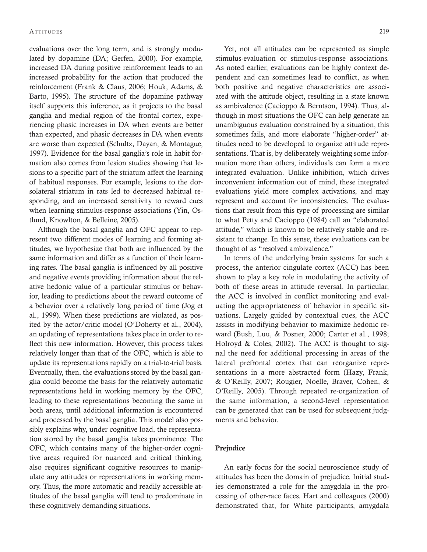evaluations over the long term, and is strongly modulated by dopamine (DA; Gerfen, 2000). For example, increased DA during positive reinforcement leads to an increased probability for the action that produced the reinforcement (Frank & Claus, 2006; Houk, Adams, & Barto, 1995). The structure of the dopamine pathway itself supports this inference, as it projects to the basal ganglia and medial region of the frontal cortex, experiencing phasic increases in DA when events are better than expected, and phasic decreases in DA when events are worse than expected (Schultz, Dayan, & Montague, 1997). Evidence for the basal ganglia's role in habit formation also comes from lesion studies showing that lesions to a specific part of the striatum affect the learning of habitual responses. For example, lesions to the dorsolateral striatum in rats led to decreased habitual responding, and an increased sensitivity to reward cues when learning stimulus-response associations (Yin, Ostlund, Knowlton, & Belleine, 2005).

Although the basal ganglia and OFC appear to represent two different modes of learning and forming attitudes, we hypothesize that both are influenced by the same information and differ as a function of their learning rates. The basal ganglia is influenced by all positive and negative events providing information about the relative hedonic value of a particular stimulus or behavior, leading to predictions about the reward outcome of a behavior over a relatively long period of time (Jog et al., 1999). When these predictions are violated, as posited by the actor/critic model (O'Doherty et al., 2004), an updating of representations takes place in order to reflect this new information. However, this process takes relatively longer than that of the OFC, which is able to update its representations rapidly on a trial-to-trial basis. Eventually, then, the evaluations stored by the basal ganglia could become the basis for the relatively automatic representations held in working memory by the OFC, leading to these representations becoming the same in both areas, until additional information is encountered and processed by the basal ganglia. This model also possibly explains why, under cognitive load, the representation stored by the basal ganglia takes prominence. The OFC, which contains many of the higher-order cognitive areas required for nuanced and critical thinking, also requires significant cognitive resources to manipulate any attitudes or representations in working memory. Thus, the more automatic and readily accessible attitudes of the basal ganglia will tend to predominate in these cognitively demanding situations.

Yet, not all attitudes can be represented as simple stimulus-evaluation or stimulus-response associations. As noted earlier, evaluations can be highly context dependent and can sometimes lead to conflict, as when both positive and negative characteristics are associated with the attitude object, resulting in a state known as ambivalence (Cacioppo & Berntson, 1994). Thus, although in most situations the OFC can help generate an unambiguous evaluation constrained by a situation, this sometimes fails, and more elaborate "higher-order" attitudes need to be developed to organize attitude representations. That is, by deliberately weighting some information more than others, individuals can form a more integrated evaluation. Unlike inhibition, which drives inconvenient information out of mind, these integrated evaluations yield more complex activations, and may represent and account for inconsistencies. The evaluations that result from this type of processing are similar to what Petty and Cacioppo (1984) call an "elaborated attitude," which is known to be relatively stable and resistant to change. In this sense, these evaluations can be thought of as "resolved ambivalence."

In terms of the underlying brain systems for such a process, the anterior cingulate cortex (ACC) has been shown to play a key role in modulating the activity of both of these areas in attitude reversal. In particular, the ACC is involved in conflict monitoring and evaluating the appropriateness of behavior in specific situations. Largely guided by contextual cues, the ACC assists in modifying behavior to maximize hedonic reward (Bush, Luu, & Posner, 2000; Carter et al., 1998; Holroyd & Coles, 2002). The ACC is thought to signal the need for additional processing in areas of the lateral prefrontal cortex that can reorganize representations in a more abstracted form (Hazy, Frank, & O'Reilly, 2007; Rougier, Noelle, Braver, Cohen, & O'Reilly, 2005). Through repeated re-organization of the same information, a second-level representation can be generated that can be used for subsequent judgments and behavior.

## Prejudice

An early focus for the social neuroscience study of attitudes has been the domain of prejudice. Initial studies demonstrated a role for the amygdala in the processing of other-race faces. Hart and colleagues (2000) demonstrated that, for White participants, amygdala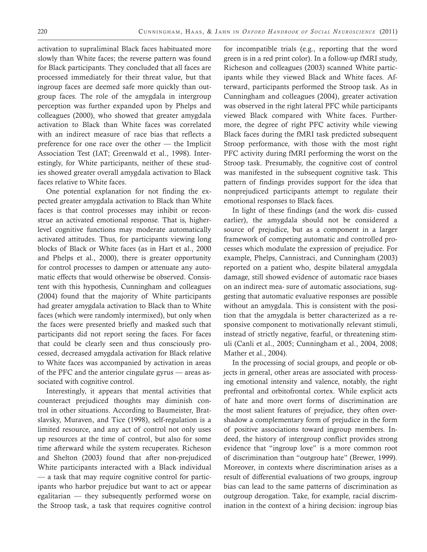activation to supraliminal Black faces habituated more slowly than White faces; the reverse pattern was found for Black participants. They concluded that all faces are processed immediately for their threat value, but that ingroup faces are deemed safe more quickly than outgroup faces. The role of the amygdala in intergroup perception was further expanded upon by Phelps and colleagues (2000), who showed that greater amygdala activation to Black than White faces was correlated with an indirect measure of race bias that reflects a preference for one race over the other — the Implicit Association Test (IAT; Greenwald et al., 1998). Interestingly, for White participants, neither of these studies showed greater overall amygdala activation to Black faces relative to White faces.

One potential explanation for not finding the expected greater amygdala activation to Black than White faces is that control processes may inhibit or reconstrue an activated emotional response. That is, higherlevel cognitive functions may moderate automatically activated attitudes. Thus, for participants viewing long blocks of Black or White faces (as in Hart et al., 2000 and Phelps et al., 2000), there is greater opportunity for control processes to dampen or attenuate any automatic effects that would otherwise be observed. Consistent with this hypothesis, Cunningham and colleagues (2004) found that the majority of White participants had greater amygdala activation to Black than to White faces (which were randomly intermixed), but only when the faces were presented briefly and masked such that participants did not report seeing the faces. For faces that could be clearly seen and thus consciously processed, decreased amygdala activation for Black relative to White faces was accompanied by activation in areas of the PFC and the anterior cingulate gyrus — areas associated with cognitive control.

Interestingly, it appears that mental activities that counteract prejudiced thoughts may diminish control in other situations. According to Baumeister, Bratslavsky, Muraven, and Tice (1998), self-regulation is a limited resource, and any act of control not only uses up resources at the time of control, but also for some time afterward while the system recuperates. Richeson and Shelton (2003) found that after non-prejudiced White participants interacted with a Black individual — a task that may require cognitive control for participants who harbor prejudice but want to act or appear egalitarian — they subsequently performed worse on the Stroop task, a task that requires cognitive control

for incompatible trials (e.g., reporting that the word green is in a red print color). In a follow-up fMRI study, Richeson and colleagues (2003) scanned White participants while they viewed Black and White faces. Afterward, participants performed the Stroop task. As in Cunningham and colleagues (2004), greater activation was observed in the right lateral PFC while participants viewed Black compared with White faces. Furthermore, the degree of right PFC activity while viewing Black faces during the fMRI task predicted subsequent Stroop performance, with those with the most right PFC activity during fMRI performing the worst on the Stroop task. Presumably, the cognitive cost of control was manifested in the subsequent cognitive task. This pattern of findings provides support for the idea that nonprejudiced participants attempt to regulate their emotional responses to Black faces.

In light of these findings (and the work dis- cussed earlier), the amygdala should not be considered a source of prejudice, but as a component in a larger framework of competing automatic and controlled processes which modulate the expression of prejudice. For example, Phelps, Cannistraci, and Cunningham (2003) reported on a patient who, despite bilateral amygdala damage, still showed evidence of automatic race biases on an indirect mea- sure of automatic associations, suggesting that automatic evaluative responses are possible without an amygdala. This is consistent with the position that the amygdala is better characterized as a responsive component to motivationally relevant stimuli, instead of strictly negative, fearful, or threatening stimuli (Canli et al., 2005; Cunningham et al., 2004, 2008; Mather et al., 2004).

In the processing of social groups, and people or objects in general, other areas are associated with processing emotional intensity and valence, notably, the right prefrontal and orbitofrontal cortex. While explicit acts of hate and more overt forms of discrimination are the most salient features of prejudice, they often overshadow a complementary form of prejudice in the form of positive associations toward ingroup members. Indeed, the history of intergroup conflict provides strong evidence that "ingroup love" is a more common root of discrimination than "outgroup hate" (Brewer, 1999). Moreover, in contexts where discrimination arises as a result of differential evaluations of two groups, ingroup bias can lead to the same patterns of discrimination as outgroup derogation. Take, for example, racial discrimination in the context of a hiring decision: ingroup bias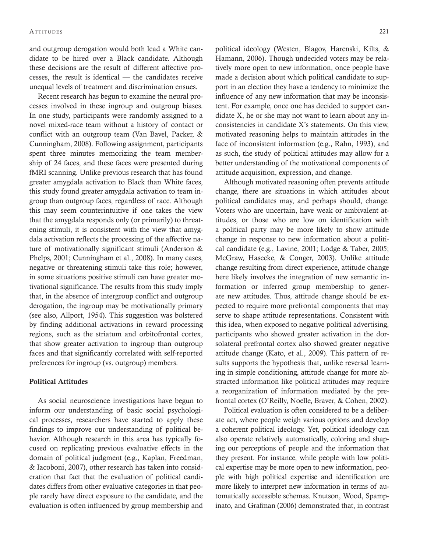and outgroup derogation would both lead a White candidate to be hired over a Black candidate. Although these decisions are the result of different affective processes, the result is identical — the candidates receive unequal levels of treatment and discrimination ensues.

Recent research has begun to examine the neural processes involved in these ingroup and outgroup biases. In one study, participants were randomly assigned to a novel mixed-race team without a history of contact or conflict with an outgroup team (Van Bavel, Packer, & Cunningham, 2008). Following assignment, participants spent three minutes memorizing the team membership of 24 faces, and these faces were presented during fMRI scanning. Unlike previous research that has found greater amygdala activation to Black than White faces, this study found greater amygdala activation to team ingroup than outgroup faces, regardless of race. Although this may seem counterintuitive if one takes the view that the amygdala responds only (or primarily) to threatening stimuli, it is consistent with the view that amygdala activation reflects the processing of the affective nature of motivationally significant stimuli (Anderson & Phelps, 2001; Cunningham et al., 2008). In many cases, negative or threatening stimuli take this role; however, in some situations positive stimuli can have greater motivational significance. The results from this study imply that, in the absence of intergroup conflict and outgroup derogation, the ingroup may be motivationally primary (see also, Allport, 1954). This suggestion was bolstered by finding additional activations in reward processing regions, such as the striatum and orbitofrontal cortex, that show greater activation to ingroup than outgroup faces and that significantly correlated with self-reported preferences for ingroup (vs. outgroup) members.

# Political Attitudes

As social neuroscience investigations have begun to inform our understanding of basic social psychological processes, researchers have started to apply these findings to improve our understanding of political behavior. Although research in this area has typically focused on replicating previous evaluative effects in the domain of political judgment (e.g., Kaplan, Freedman, & Iacoboni, 2007), other research has taken into consideration that fact that the evaluation of political candidates differs from other evaluative categories in that people rarely have direct exposure to the candidate, and the evaluation is often influenced by group membership and political ideology (Westen, Blagov, Harenski, Kilts, & Hamann, 2006). Though undecided voters may be relatively more open to new information, once people have made a decision about which political candidate to support in an election they have a tendency to minimize the influence of any new information that may be inconsistent. For example, once one has decided to support candidate X, he or she may not want to learn about any inconsistencies in candidate X's statements. On this view, motivated reasoning helps to maintain attitudes in the face of inconsistent information (e.g., Rahn, 1993), and as such, the study of political attitudes may allow for a better understanding of the motivational components of attitude acquisition, expression, and change.

Although motivated reasoning often prevents attitude change, there are situations in which attitudes about political candidates may, and perhaps should, change. Voters who are uncertain, have weak or ambivalent attitudes, or those who are low on identification with a political party may be more likely to show attitude change in response to new information about a political candidate (e.g., Lavine, 2001; Lodge & Taber, 2005; McGraw, Hasecke, & Conger, 2003). Unlike attitude change resulting from direct experience, attitude change here likely involves the integration of new semantic information or inferred group membership to generate new attitudes. Thus, attitude change should be expected to require more prefrontal components that may serve to shape attitude representations. Consistent with this idea, when exposed to negative political advertising, participants who showed greater activation in the dorsolateral prefrontal cortex also showed greater negative attitude change (Kato, et al., 2009). This pattern of results supports the hypothesis that, unlike reversal learning in simple conditioning, attitude change for more abstracted information like political attitudes may require a reorganization of information mediated by the prefrontal cortex (O'Reilly, Noelle, Braver, & Cohen, 2002).

Political evaluation is often considered to be a deliberate act, where people weigh various options and develop a coherent political ideology. Yet, political ideology can also operate relatively automatically, coloring and shaping our perceptions of people and the information that they present. For instance, while people with low political expertise may be more open to new information, people with high political expertise and identification are more likely to interpret new information in terms of automatically accessible schemas. Knutson, Wood, Spampinato, and Grafman (2006) demonstrated that, in contrast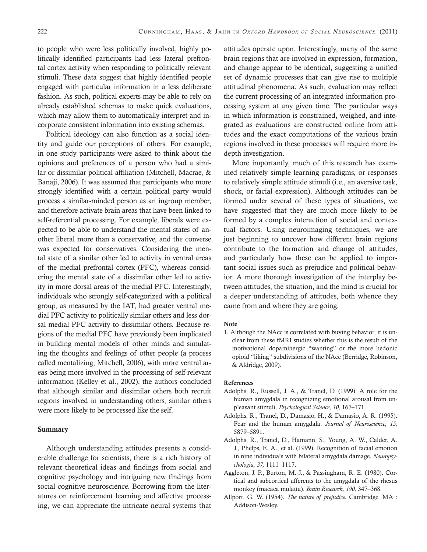to people who were less politically involved, highly politically identified participants had less lateral prefrontal cortex activity when responding to politically relevant stimuli. These data suggest that highly identified people engaged with particular information in a less deliberate fashion. As such, political experts may be able to rely on already established schemas to make quick evaluations, which may allow them to automatically interpret and incorporate consistent information into existing schemas.

Political ideology can also function as a social identity and guide our perceptions of others. For example, in one study participants were asked to think about the opinions and preferences of a person who had a similar or dissimilar political affiliation (Mitchell, Macrae, & Banaji, 2006). It was assumed that participants who more strongly identified with a certain political party would process a similar-minded person as an ingroup member, and therefore activate brain areas that have been linked to self-referential processing. For example, liberals were expected to be able to understand the mental states of another liberal more than a conservative, and the converse was expected for conservatives. Considering the mental state of a similar other led to activity in ventral areas of the medial prefrontal cortex (PFC), whereas considering the mental state of a dissimilar other led to activity in more dorsal areas of the medial PFC. Interestingly, individuals who strongly self-categorized with a political group, as measured by the IAT, had greater ventral medial PFC activity to politically similar others and less dorsal medial PFC activity to dissimilar others. Because regions of the medial PFC have previously been implicated in building mental models of other minds and simulating the thoughts and feelings of other people (a process called mentalizing; Mitchell, 2006), with more ventral areas being more involved in the processing of self-relevant information (Kelley et al., 2002), the authors concluded that although similar and dissimilar others both recruit regions involved in understanding others, similar others were more likely to be processed like the self.

## Summary

Although understanding attitudes presents a considerable challenge for scientists, there is a rich history of relevant theoretical ideas and findings from social and cognitive psychology and intriguing new findings from social cognitive neuroscience. Borrowing from the literatures on reinforcement learning and affective processing, we can appreciate the intricate neural systems that

attitudes operate upon. Interestingly, many of the same brain regions that are involved in expression, formation, and change appear to be identical, suggesting a unified set of dynamic processes that can give rise to multiple attitudinal phenomena. As such, evaluation may reflect the current processing of an integrated information processing system at any given time. The particular ways in which information is constrained, weighed, and integrated as evaluations are constructed online from attitudes and the exact computations of the various brain regions involved in these processes will require more indepth investigation.

More importantly, much of this research has examined relatively simple learning paradigms, or responses to relatively simple attitude stimuli (i.e., an aversive task, shock, or facial expression). Although attitudes can be formed under several of these types of situations, we have suggested that they are much more likely to be formed by a complex interaction of social and contextual factors. Using neuroimaging techniques, we are just beginning to uncover how different brain regions contribute to the formation and change of attitudes, and particularly how these can be applied to important social issues such as prejudice and political behavior. A more thorough investigation of the interplay between attitudes, the situation, and the mind is crucial for a deeper understanding of attitudes, both whence they came from and where they are going.

#### Note

1. Although the NAcc is correlated with buying behavior, it is unclear from these fMRI studies whether this is the result of the motivational dopaminergic "wanting" or the more hedonic opioid "liking" subdivisions of the NAcc (Berridge, Robinson, & Aldridge, 2009).

### References

- Adolphs, R., Russell, J. A., & Tranel, D. (1999). A role for the human amygdala in recognizing emotional arousal from unpleasant stimuli. *Psychological Science, 10,* 167–171.
- Adolphs, R., Tranel, D., Damasio, H., & Damasio, A. R. (1995). Fear and the human amygdala. *Journal of Neuroscience, 15,* 5879–5891.
- Adolphs, R., Tranel, D., Hamann, S., Young, A. W., Calder, A. J., Phelps, E. A., et al. (1999). Recognition of facial emotion in nine individuals with bilateral amygdala damage. *Neuropsychologia, 37,* 1111–1117.
- Aggleton, J. P., Burton, M. J., & Passingham, R. E. (1980). Cortical and subcortical afferents to the amygdala of the rhesus monkey (macaca mulatta). *Brain Research, 190,* 347–368.
- Allport, G. W. (1954). *The nature of prejudice.* Cambridge, MA : Addison-Wesley.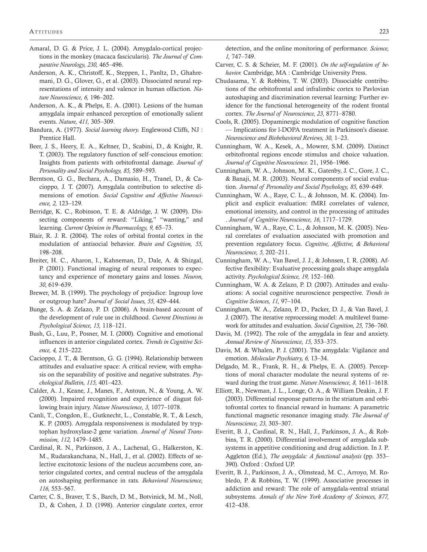- Amaral, D. G. & Price, J. L. (2004). Amygdalo-cortical projections in the monkey (macaca fascicularis). *The Journal of Comparative Neurology, 230,* 465–496.
- Anderson, A. K., Christoff, K., Steppen, I., Panltz, D., Ghahremani, D. G., Glover, G., et al. (2003). Dissociated neural representations of intensity and valence in human olfaction. *Nature Neuroscience, 6,* 196–202.
- Anderson, A. K., & Phelps, E. A. (2001). Lesions of the human amygdala impair enhanced perception of emotionally salient events. *Nature, 411,* 305–309.
- Bandura, A. (1977). *Social learning theory.* Englewood Cliffs, NJ : Prentice Hall.
- Beer, J. S., Heery, E. A., Keltner, D., Scabini, D., & Knight, R. T. (2003). The regulatory function of self–conscious emotion: Insights from patients with orbitofrontal damage. *Journal of Personality and Social Psychology, 85,* 589–593.
- Berntson, G. G., Bechara, A., Damasio, H., Tranel, D., & Cacioppo, J. T. (2007). Amygdala contribution to selective dimensions of emotion. *Social Cognitive and Affective Neuroscience, 2,* 123–129.
- Berridge, K. C., Robinson, T. E. & Aldridge, J. W. (2009). Dissecting components of reward: "Liking," "wanting," and learning. *Current Opinion in Pharmacology, 9,* 65–73.
- Blair, R. J. R. (2004). The roles of orbital frontal cortex in the modulation of antisocial behavior. *Brain and Cognition, 55,* 198–208.
- Breiter, H. C., Aharon, I., Kahneman, D., Dale, A. & Shizgal, P. (2001). Functional imaging of neural responses to expectancy and experience of monetary gains and losses. *Neuron, 30,* 619–639.
- Brewer, M. B. (1999). The psychology of prejudice: Ingroup love or outgroup hate? *Journal of Social Issues, 55,* 429–444.
- Bunge, S. A. & Zelazo, P. D. (2006). A brain-based account of the development of rule use in childhood. *Current Directions in Psychological Science, 15,* 118–121.
- Bush, G., Luu, P., Posner, M. I. (2000). Cognitive and emotional influences in anterior cingulated cortex. *Trends in Cognitive Science, 4,* 215–222.
- Cacioppo, J. T., & Berntson, G. G. (1994). Relationship between attitudes and evaluative space: A critical review, with emphasis on the separability of positive and negative substrates. *Psychological Bulletin, 115,* 401–423.
- Calder, A. J., Keane, J., Manes, F., Antoun, N., & Young, A. W. (2000). Impaired recognition and experience of disgust following brain injury. *Nature Neuroscience, 3,* 1077–1078.
- Canli, T., Congdon, E., Gutknecht, L., Constable, R. T., & Lesch, K. P. (2005). Amygdala responsiveness is modulated by tryptophan hydroxylase-2 gene variation. *Journal of Neural Transmission, 112,* 1479–1485.
- Cardinal, R. N., Parkinson, J. A., Lachenal, G., Halkerston, K. M., Rudarakanchana, N., Hall, J., et al. (2002). Effects of selective excitotoxic lesions of the nucleus accumbens core, anterior cingulated cortex, and central nucleus of the amygdala on autoshaping performance in rats. *Behavioral Neuroscience, 116,* 553–567.
- Carter, C. S., Braver, T. S., Barch, D. M., Botvinick, M. M., Noll, D., & Cohen, J. D. (1998). Anterior cingulate cortex, error

detection, and the online monitoring of performance. *Science, 1,* 747–749.

- Carver, C. S. & Scheier, M. F. (2001). *On the self-regulation of behavior.* Cambridge, MA : Cambridge University Press.
- Chudasama, Y. & Robbins, T. W. (2003). Dissociable contributions of the orbitofrontal and infralimbic cortex to Pavlovian autoshaping and discrimination reversal learning: Further evidence for the functional heterogeneity of the rodent frontal cortex. *The Journal of Neuroscience, 23,* 8771–8780.
- Cools, R. (2005). Dopaminergic modulation of cognitive function — Implications for l-DOPA treatment in Parkinson's disease. *Neuroscience and Biobehavioral Reviews, 30,* 1–23.
- Cunningham, W. A., Kesek, A., Mowrer, S.M. (2009). Distinct orbitofrontal regions encode stimulus and choice valuation. *Journal of Cognitive Neuroscience.* 21, 1956–1966.
- Cunningham, W. A., Johnson, M. K., Gatenby, J. C., Gore, J. C., & Banaji, M. R. (2003). Neural components of social evaluation. *Journal of Personality and Social Psychology, 85,* 639–649.
- Cunningham, W. A., Raye, C. L., & Johnson, M. K. (2004). Implicit and explicit evaluation: fMRI correlates of valence, emotional intensity, and control in the processing of attitudes . *Journal of Cognitive Neuroscience, 16,* 1717–1729.
- Cunningham, W. A., Raye, C. L., & Johnson, M. K. (2005). Neural correlates of evaluation associated with promotion and prevention regulatory focus. *Cognitive, Affective, & Behavioral Neuroscience, 5,* 202–211.
- Cunningham, W. A., Van Bavel, J. J., & Johnsen, I. R. (2008). Affective flexibility: Evaluative processing goals shape amygdala activity. *Psychological Science, 19,* 152–160.
- Cunningham, W. A. & Zelazo, P. D. (2007). Attitudes and evaluations: A social cognitive neuroscience perspective. *Trends in Cognitive Sciences, 11,* 97–104.
- Cunningham, W. A., Zelazo, P. D., Packer, D. J., & Van Bavel, J. J. (2007). The iterative reprocessing model: A multilevel framework for attitudes and evaluation. *Social Cognition, 25,* 736–760.
- Davis, M. (1992). The role of the amygdala in fear and anxiety. *Annual Review of Neuroscience, 15,* 353–375.
- Davis, M. & Whalen, P. J. (2001). The amygdala: Vigilance and emotion. *Molecular Psychiatry, 6,* 13–34.
- Delgado, M. R., Frank, R. H., & Phelps, E. A. (2005). Perceptions of moral character modulate the neural systems of reward during the trust game. *Nature Neuroscience, 8,* 1611–1618.
- Elliott, R., Newman, J. L., Longe, O. A., & William Deakin, J. F. (2003). Differential response patterns in the striatum and orbitofrontal cortex to financial reward in humans: A parametric functional magnetic resonance imaging study. *The Journal of Neuroscience, 23,* 303–307.
- Everitt, B. J., Cardinal, R. N., Hall, J., Parkinson, J. A., & Robbins, T. R. (2000). Differential involvement of amygdala subsystems in appetitive conditioning and drug addiction. In J. P. Aggleton (Ed.), *The amygdala: A functional analysis* (pp. 353– 390). Oxford : Oxford UP.
- Everitt, B. J., Parkinson, J. A., Olmstead, M. C., Arroyo, M. Robledo, P. & Robbins, T. W. (1999). Associative processes in addiction and reward: The role of amygdala-ventral striatal subsystems. *Annals of the New York Academy of Sciences, 877,* 412–438.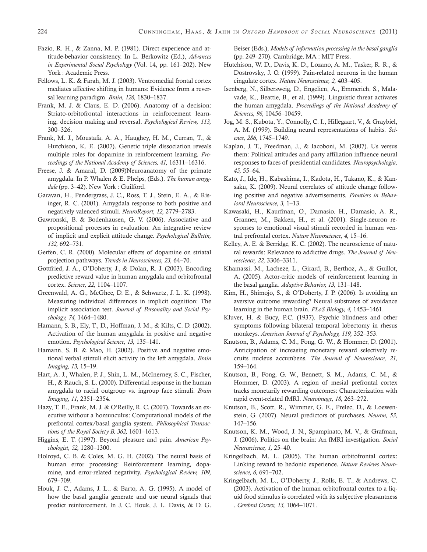- Fazio, R. H., & Zanna, M. P. (1981). Direct experience and attitude-behavior consistency. In L. Berkowitz (Ed.), *Advances in Experimental Social Psychology* (Vol. 14, pp. 161–202). New York : Academic Press.
- Fellows, L. K. & Farah, M. J. (2003). Ventromedial frontal cortex mediates affective shifting in humans: Evidence from a reversal learning paradigm. *Brain, 126,* 1830–1837.
- Frank, M. J. & Claus, E. D. (2006). Anatomy of a decision: Striato-orbitofrontal interactions in reinforcement learning, decision making and reversal. *Psychological Review, 113,* 300–326.
- Frank, M. J., Moustafa, A. A., Haughey, H. M., Curran, T., & Hutchison, K. E. (2007). Genetic triple dissociation reveals multiple roles for dopamine in reinforcement learning. *Proceedings of the National Academy of Sciences, 41,* 16311–16316.
- Freese, J. & Amaral, D. (2009)Neuroanatomy of the primate amygdala. In P. Whalen & E. Phelps, (Eds.). *The human amygdale* (pp. 3–42). New York : Guilford.
- Garavan, H., Pendergrass, J. C., Ross, T. J., Stein, E. A., & Risinger, R. C. (2001). Amygdala response to both positive and negatively valenced stimuli. *NeuroReport, 12,* 2779–2783.
- Gawronski, B. & Bodenhausen, G. V. (2006). Associative and propositional processes in evaluation: An integrative review of implicit and explicit attitude change. *Psychological Bulletin, 132,* 692–731.
- Gerfen, C. R. (2000). Molecular effects of dopamine on striatal projection pathways. *Trends in Neurosciences, 23,* 64–70.
- Gottfried, J. A., O'Doherty, J., & Dolan, R. J. (2003). Encoding predictive reward value in human amygdala and orbitofrontal cortex. *Science, 22,* 1104–1107.
- Greenwald, A. G., McGhee, D. E., & Schwartz, J. L. K. (1998). Measuring individual differences in implicit cognition: The implicit association test. *Journal of Personality and Social Psychology, 74,* 1464–1480.
- Hamann, S. B., Ely, T., D., Hoffman, J. M., & Kilts, C. D. (2002). Activation of the human amygdala in positive and negative emotion. *Psychological Science, 13,* 135–141.
- Hamann, S. B. & Mao, H. (2002). Positive and negative emotional verbal stimuli elicit activity in the left amygdala. *Brain Imaging, 13,* 15–19.
- Hart, A. J., Whalen, P. J., Shin, L. M., McInerney, S. C., Fischer, H., & Rauch, S. L. (2000). Differential response in the human amygdala to racial outgroup vs. ingroup face stimuli. *Brain Imaging, 11,* 2351–2354.
- Hazy, T. E., Frank, M. J. & O'Reilly, R. C. (2007). Towards an executive without a homunculus: Computational models of the prefrontal cortex/basal ganglia system. *Philosophical Transactions of the Royal Society B, 362,* 1601–1613.
- Higgins, E. T. (1997). Beyond pleasure and pain. *American Psychologist, 52,* 1280–1300.
- Holroyd, C. B. & Coles, M. G. H. (2002). The neural basis of human error processing: Reinforcement learning, dopamine, and error-related negativity. *Psychological Review, 109,* 679–709.
- Houk, J. C., Adams, J. L., & Barto, A. G. (1995). A model of how the basal ganglia generate and use neural signals that predict reinforcement. In J. C. Houk, J. L. Davis, & D. G.

Beiser (Eds.), *Models of information processing in the basal ganglia*  (pp. 249–270). Cambridge, MA : MIT Press.

- Hutchison, W. D., Davis, K. D., Lozano, A. M., Tasker, R. R., & Dostrovsky, J. O. (1999). Pain-related neurons in the human cingulate cortex. *Nature Neuroscience, 2,* 403–405.
- Isenberg, N., Silbersweig, D., Engelien, A., Emmerich, S., Malavade, K., Beattie, B., et al. (1999). Linguistic threat activates the human amygdala. *Proceedings of the National Academy of Sciences, 96,* 10456–10459.
- Jog, M. S., Kubota, Y., Connolly, C. I., Hillegaart, V., & Graybiel, A. M. (1999). Building neural representations of habits. *Science, 286,* 1745–1749.
- Kaplan, J. T., Freedman, J., & Iacoboni, M. (2007). Us versus them: Political attitudes and party affiliation influence neural responses to faces of presidential candidates. *Neuropsychologia, 45,* 55–64.
- Kato, J., Ide, H., Kabashima, I., Kadota, H., Takano, K., & Kansaku, K. (2009). Neural correlates of attitude change following positive and negative advertisements. *Frontiers in Behavioral Neuroscience, 3,* 1–13.
- Kawasaki, H., Kaurfman, O., Damasio. H., Damasio, A. R., Granner, M., Bakken, H., et al. (2001). Single-neuron responses to emotional visual stimuli recorded in human ventral prefrontal cortex. *Nature Neuroscience, 4,* 15–16.
- Kelley, A. E. & Berridge, K. C. (2002). The neuroscience of natural rewards: Relevance to addictive drugs. *The Journal of Neuroscience, 22,* 3306–3311.
- Khamassi, M., Lacheze, L., Girard, B., Berthoz, A., & Guillot, A. (2005). Actor-critic models of reinforcement learning in the basal ganglia. *Adaptive Behavior, 13,* 131–148.
- Kim, H., Shimojo, S., & O'Doherty, J. P. (2006). Is avoiding an aversive outcome rewarding? Neural substrates of avoidance learning in the human brain. *PLoS Biology, 4,* 1453–1461.
- Kluver, H. & Bucy, P.C. (1937). Psychic blindness and other symptoms following bilateral temporal lobectomy in rhesus monkeys. *American Journal of Psychology, 119,* 352–353.
- Knutson, B., Adams, C. M., Fong, G. W., & Hommer, D. (2001). Anticipation of increasing monetary reward selectively recruits nucleus accumbens. *The Journal of Neuroscience, 21,* 159–164.
- Knutson, B., Fong, G. W., Bennett, S. M., Adams, C. M., & Hommer, D. (2003). A region of mesial prefrontal cortex tracks monetarily rewarding outcomes: Characterization with rapid event-related fMRI. *Neuroimage, 18,* 263–272.
- Knutson, B., Scott, R., Wimmer, G. E., Prelec, D., & Loewenstein, G. (2007). Neural predictors of purchases. *Neuron, 53,* 147–156.
- Knutson, K. M., Wood, J. N., Spampinato, M. V., & Grafman, J. (2006). Politics on the brain: An fMRI investigation. *Social Neuroscience, 1,* 25–40.
- Kringelbach, M. L. (2005). The human orbitofrontal cortex: Linking reward to hedonic experience. *Nature Reviews Neuroscience, 6,* 691–702.
- Kringelbach, M. L., O'Doherty, J., Rolls, E. T., & Andrews, C. (2003). Activation of the human orbitofrontal cortex to a liquid food stimulus is correlated with its subjective pleasantness . *Cerebral Cortex, 13,* 1064–1071.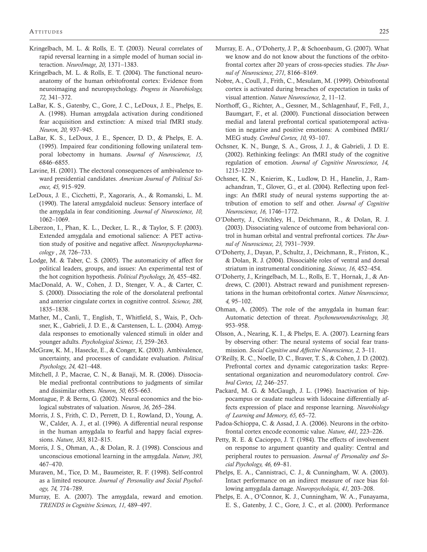- Kringelbach, M. L. & Rolls, E. T. (2003). Neural correlates of rapid reversal learning in a simple model of human social interaction. *NeuroImage, 20,* 1371–1383.
- Kringelbach, M. L. & Rolls, E. T. (2004). The functional neuroanatomy of the human orbitofrontal cortex: Evidence from neuroimaging and neuropsychology. *Progress in Neurobiology, 72,* 341–372.
- LaBar, K. S., Gatenby, C., Gore, J. C., LeDoux, J. E., Phelps, E. A. (1998). Human amygdala activation during conditioned fear acquisition and extinction: A mixed trial fMRI study. *Neuron, 20,* 937–945.
- LaBar, K. S., LeDoux, J. E., Spencer, D. D., & Phelps, E. A. (1995). Impaired fear conditioning following unilateral temporal lobectomy in humans. *Journal of Neuroscience, 15,* 6846–6855.
- Lavine, H. (2001). The electoral consequences of ambivalence toward presidential candidates. *American Journal of Political Science, 45,* 915–929.
- LeDoux, J. E., Cicchetti, P., Xagoraris, A., & Romanski, L. M. (1990). The lateral amygdaloid nucleus: Sensory interface of the amygdala in fear conditioning. *Journal of Neuroscience, 10,* 1062–1069.
- Liberzon, I., Phan, K. L., Decker, L. R., & Taylor, S. F. (2003). Extended amygdala and emotional salience: A PET activation study of positive and negative affect. *Neuropsychopharmacology* , *28,* 726–733.
- Lodge, M. & Taber, C. S. (2005). The automaticity of affect for political leaders, groups, and issues: An experimental test of the hot cognition hypothesis. *Political Psychology, 26,* 455–482.
- MacDonald, A. W., Cohen, J. D., Stenger, V. A., & Carter, C. S. (2000). Dissociating the role of the dorsolateral prefrontal and anterior cingulate cortex in cognitive control. *Science, 288,* 1835–1838.
- Mather, M., Canli, T., English, T., Whitfield, S., Wais, P., Ochsner, K., Gabrieli, J. D. E., & Carstensen, L. L. (2004). Amygdala responses to emotionally valenced stimuli in older and younger adults. *Psychological Science, 15,* 259–263.
- McGraw, K. M., Hasecke, E., & Conger, K. (2003). Ambivalence, uncertainty, and processes of candidate evaluation. *Political Psychology, 24,* 421–448.
- Mitchell, J. P., Macrae, C. N., & Banaji, M. R. (2006). Dissociable medial prefrontal contributions to judgments of similar and dissimilar others. *Neuron, 50,* 655–663.
- Montague, P. & Berns, G. (2002). Neural economics and the biological substrates of valuation. *Neuron, 36,* 265–284.
- Morris, J. S., Frith, C. D., Perrett, D. I., Rowland, D., Young, A. W., Calder, A. J., et al. (1996). A differential neural response in the human amygdala to fearful and happy facial expressions. *Nature, 383,* 812–815.
- Morris, J. S., Ohman, A., & Dolan, R. J. (1998). Conscious and unconscious emotional learning in the amygdala. *Nature, 393,* 467–470.
- Muraven, M., Tice, D. M., Baumeister, R. F. (1998). Self-control as a limited resource. *Journal of Personality and Social Psychology, 74,* 774–789.
- Murray, E. A. (2007). The amygdala, reward and emotion. *TRENDS in Cognitive Sciences, 11,* 489–497.
- Murray, E. A., O'Doherty, J. P., & Schoenbaum, G. (2007). What we know and do not know about the functions of the orbitofrontal cortex after 20 years of cross-species studies. *The Journal of Neuroscience, 271,* 8166–8169.
- Nobre, A., Coull, J., Frith, C., Mesulam, M. (1999). Orbitofrontal cortex is activated during breaches of expectation in tasks of visual attention. *Nature Neuroscience,* 2, 11–12.
- Northoff, G., Richter, A., Gessner, M., Schlagenhauf, F., Fell, J., Baumgart, F., et al. (2000). Functional dissociation between medial and lateral prefrontal cortical spatiotemporal activation in negative and positive emotions: A combined fMRI/ MEG study. *Cerebral Cortex, 10,* 93–107.
- Ochsner, K. N., Bunge, S. A., Gross, J. J., & Gabrieli, J. D. E. (2002). Rethinking feelings: An fMRI study of the cognitive regulation of emotion. *Journal of Cognitive Neuroscience, 14,* 1215–1229.
- Ochsner, K. N., Knierim, K., Ludlow, D. H., Hanelin, J., Ramachandran, T., Glover, G., et al. (2004). Reflecting upon feelings: An fMRI study of neural systems supporting the attribution of emotion to self and other. *Journal of Cognitive Neuroscience, 16,* 1746–1772.
- O'Doherty, J., Critchley, H., Deichmann, R., & Dolan, R. J. (2003). Dissociating valence of outcome from behavioral control in human orbital and ventral prefrontal cortices. *The Journal of Neuroscience, 23,* 7931–7939.
- O'Doherty, J., Dayan, P., Schultz, J., Deichmann, R., Friston, K., & Dolan, R. J. (2004). Dissociable roles of ventral and dorsal striatum in instrumental conditioning. *Science, 16,* 452–454.
- O'Doherty, J., Kringelbach, M. L., Rolls, E. T., Hornak, J., & Andrews, C. (2001). Abstract reward and punishment representations in the human orbitofrontal cortex. *Nature Neuroscience, 4,* 95–102.
- Ohman, A. (2005). The role of the amygdala in human fear: Automatic detection of threat. *Psychoneuroendocrinology, 30,* 953–958.
- Olsson, A., Nearing, K. I., & Phelps, E. A. (2007). Learning fears by observing other: The neural systems of social fear transmission. *Social Cognitive and Affective Neuroscience, 2,* 3–11.
- O'Reilly, R. C., Noelle, D. C., Braver, T. S., & Cohen, J. D. (2002). Prefrontal cortex and dynamic categorization tasks: Representational organization and neuromodulatory control. *Cerebral Cortex, 12,* 246–257.
- Packard, M. G. & McGaugh, J. L. (1996). Inactivation of hippocampus or caudate nucleus with lidocaine differentially affects expression of place and response learning. *Neurobiology of Learning and Memory, 65,* 65–72.
- Padoa-Schioppa, C. & Assad, J. A. (2006). Neurons in the orbitofrontal cortex encode economic value. *Nature, 441,* 223–226.
- Petty, R. E. & Cacioppo, J. T. (1984). The effects of involvement on response to argument quantity and quality: Central and peripheral routes to persuasion. *Journal of Personality and Social Psychology, 46,* 69–81.
- Phelps, E. A., Cannistraci, C. J., & Cunningham, W. A. (2003). Intact performance on an indirect measure of race bias following amygdala damage. *Neuropsychologia, 41,* 203–208.
- Phelps, E. A., O'Connor, K. J., Cunningham, W. A., Funayama, E. S., Gatenby, J. C., Gore, J. C., et al. (2000). Performance